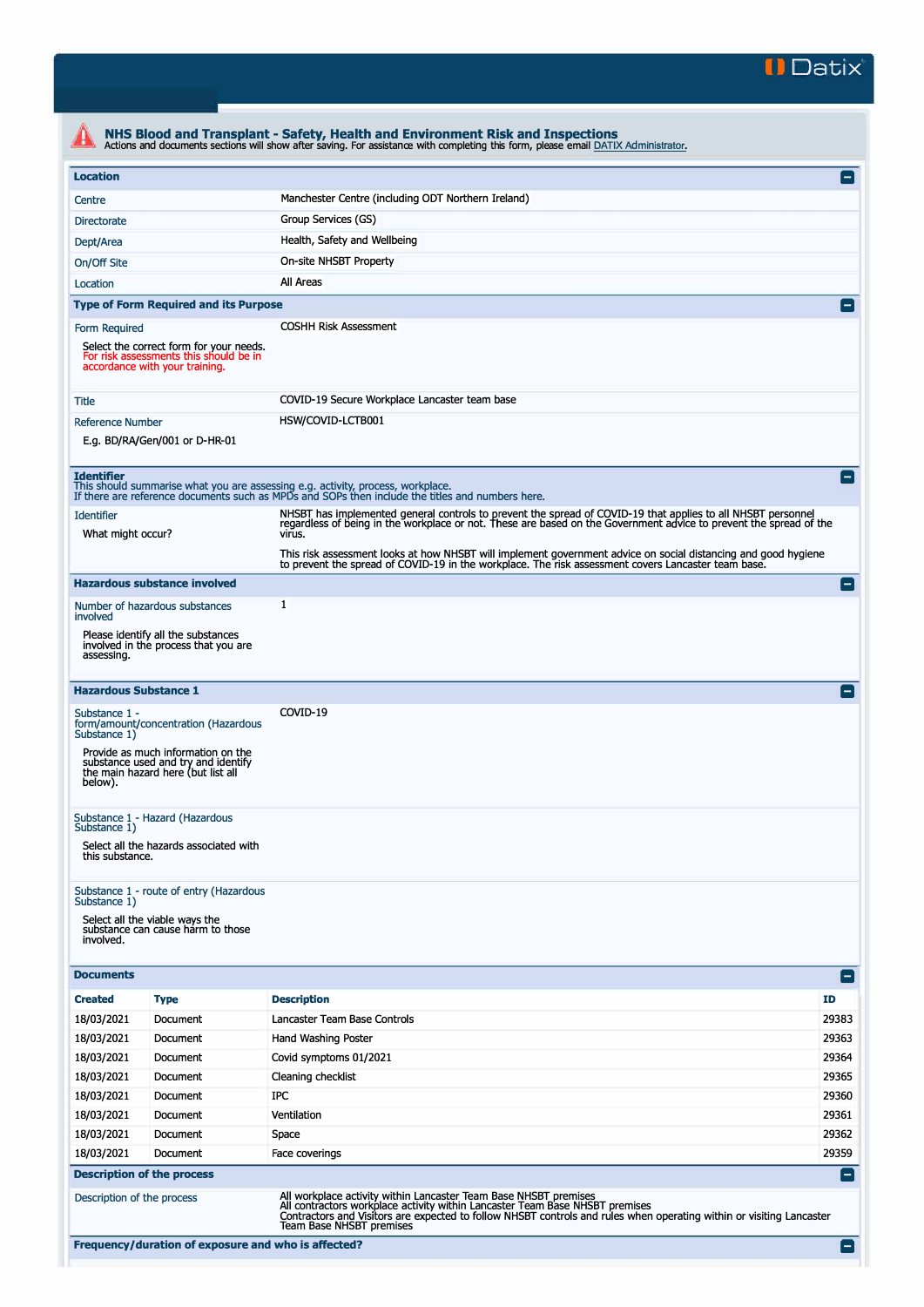

| <b>Location</b>                        |                                                                                                                     |                                                                                                                                                                                                                                             | Ξ               |
|----------------------------------------|---------------------------------------------------------------------------------------------------------------------|---------------------------------------------------------------------------------------------------------------------------------------------------------------------------------------------------------------------------------------------|-----------------|
| Centre                                 |                                                                                                                     | Manchester Centre (including ODT Northern Ireland)                                                                                                                                                                                          |                 |
| Directorate                            |                                                                                                                     | Group Services (GS)                                                                                                                                                                                                                         |                 |
| Dept/Area                              |                                                                                                                     | Health, Safety and Wellbeing                                                                                                                                                                                                                |                 |
| On/Off Site                            |                                                                                                                     | On-site NHSBT Property                                                                                                                                                                                                                      |                 |
| Location                               |                                                                                                                     | All Areas                                                                                                                                                                                                                                   |                 |
|                                        | <b>Type of Form Required and its Purpose</b>                                                                        |                                                                                                                                                                                                                                             |                 |
|                                        |                                                                                                                     | <b>COSHH Risk Assessment</b>                                                                                                                                                                                                                |                 |
| Form Required                          | Select the correct form for your needs.<br>For risk assessments this should be in<br>accordance with your training. |                                                                                                                                                                                                                                             |                 |
| Title                                  |                                                                                                                     | COVID-19 Secure Workplace Lancaster team base                                                                                                                                                                                               |                 |
| <b>Reference Number</b>                |                                                                                                                     | HSW/COVID-LCTB001                                                                                                                                                                                                                           |                 |
|                                        | E.g. BD/RA/Gen/001 or D-HR-01                                                                                       |                                                                                                                                                                                                                                             |                 |
| <b>Identifier</b>                      |                                                                                                                     | This should summarise what you are assessing e.g. activity, process, workplace.<br>If there are reference documents such as MPDs and SOPs then include the titles and numbers here.                                                         | $\equiv$        |
| <b>Identifier</b><br>What might occur? |                                                                                                                     | NHSBT has implemented general controls to prevent the spread of COVID-19 that applies to all NHSBT personnel<br>regardless of being in the workplace or not. These are based on the Government advice to prevent the spread of th<br>virus. |                 |
|                                        |                                                                                                                     | This risk assessment looks at how NHSBT will implement government advice on social distancing and good hygiene<br>to prevent the spread of COVID-19 in the workplace. The risk assessment covers Lancaster team base.                       |                 |
|                                        | <b>Hazardous substance involved</b>                                                                                 |                                                                                                                                                                                                                                             | $\equiv$        |
| involved                               | Number of hazardous substances                                                                                      | 1                                                                                                                                                                                                                                           |                 |
| assessing.                             | Please identify all the substances<br>involved in the process that you are                                          |                                                                                                                                                                                                                                             |                 |
|                                        | <b>Hazardous Substance 1</b>                                                                                        |                                                                                                                                                                                                                                             | $\vert - \vert$ |
| Substance 1 -<br>Substance 1)          | form/amount/concentration (Hazardous                                                                                | COVID-19                                                                                                                                                                                                                                    |                 |
| below).                                | Provide as much information on the<br>substance used and try and identify<br>the main hazard here (but list all     |                                                                                                                                                                                                                                             |                 |
| Substance 1)                           | Substance 1 - Hazard (Hazardous                                                                                     |                                                                                                                                                                                                                                             |                 |
| this substance.                        | Select all the hazards associated with                                                                              |                                                                                                                                                                                                                                             |                 |
| Substance 1)                           | Substance 1 - route of entry (Hazardous                                                                             |                                                                                                                                                                                                                                             |                 |
| involved.                              | Select all the viable ways the<br>substance can cause harm to those                                                 |                                                                                                                                                                                                                                             |                 |
| <b>Documents</b>                       |                                                                                                                     |                                                                                                                                                                                                                                             | $\vert - \vert$ |
| <b>Created</b>                         | <b>Type</b>                                                                                                         | <b>Description</b>                                                                                                                                                                                                                          | ID              |
| 18/03/2021                             | Document                                                                                                            | Lancaster Team Base Controls                                                                                                                                                                                                                | 29383           |
| 18/03/2021                             | Document                                                                                                            | Hand Washing Poster                                                                                                                                                                                                                         | 29363           |
| 18/03/2021                             | Document                                                                                                            | Covid symptoms 01/2021                                                                                                                                                                                                                      | 29364           |
| 18/03/2021                             | Document                                                                                                            | Cleaning checklist                                                                                                                                                                                                                          | 29365           |
| 18/03/2021                             | Document                                                                                                            | <b>IPC</b>                                                                                                                                                                                                                                  | 29360           |
| 18/03/2021                             | Document                                                                                                            | Ventilation                                                                                                                                                                                                                                 | 29361           |
| 18/03/2021                             | Document                                                                                                            | Space                                                                                                                                                                                                                                       | 29362           |
| 18/03/2021                             | Document                                                                                                            | Face coverings                                                                                                                                                                                                                              | 29359           |
|                                        | <b>Description of the process</b>                                                                                   |                                                                                                                                                                                                                                             | Е.              |
|                                        | Description of the process                                                                                          | All workplace activity within Lancaster Team Base NHSBT premises<br>All contractors workplace activity within Lancaster Team Base NHSBT premises                                                                                            |                 |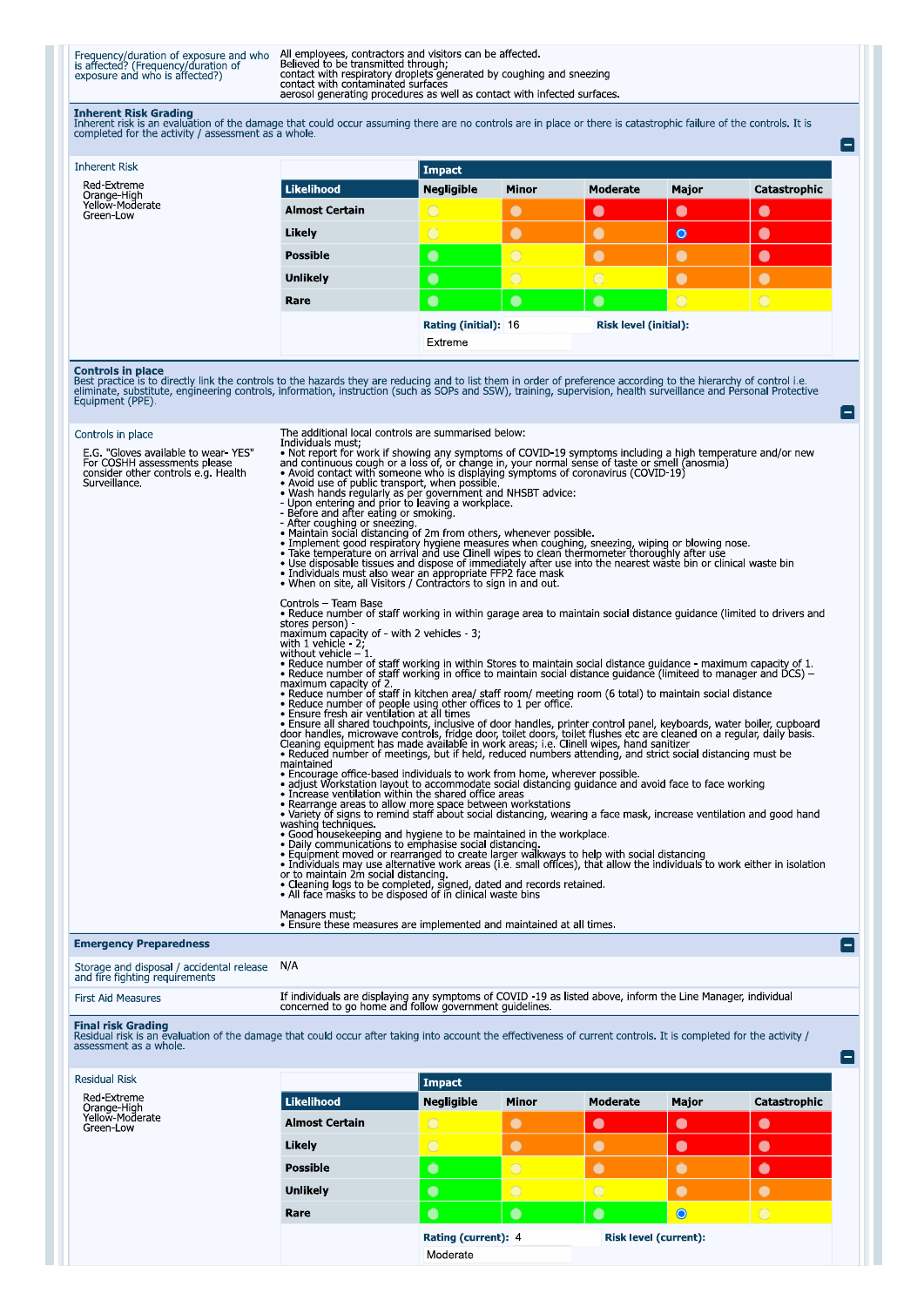Frequency/duration of exposure and who<br>is affected? (Frequency/duration of<br>exposure and who is affected?)

All employees, contractors and visitors can be affected.<br>Believed to be transmitted through;<br>contact with respiratory droplets generated by coughing and sneezing<br>contact with contaminated surfaces aerosol generating procedures as well as contact with infected surfaces.

Ξ

Ξ

Ξ

Inherent Risk Grading<br>Inherent risk is an evaluation of the damage that could occur assuming there are no controls are in place or there is catastrophic failure of the controls. It is<br>completed for the activity / assessmen

| <b>Inherent Risk</b>                                                                                                                                                                                                                                                                                                                                                                   |                                                                                                                                                                                                                                                                                                                                                                                                                                                                                                                                                                                                                                                                                                                                                                                                                                                                                                                                                                                                                                                                                                                                                                                                                                                                                                                                                                                                                                                                                                                                                                                                                                                                                                | <b>Impact</b>                   |            |                              |                       |                |
|----------------------------------------------------------------------------------------------------------------------------------------------------------------------------------------------------------------------------------------------------------------------------------------------------------------------------------------------------------------------------------------|------------------------------------------------------------------------------------------------------------------------------------------------------------------------------------------------------------------------------------------------------------------------------------------------------------------------------------------------------------------------------------------------------------------------------------------------------------------------------------------------------------------------------------------------------------------------------------------------------------------------------------------------------------------------------------------------------------------------------------------------------------------------------------------------------------------------------------------------------------------------------------------------------------------------------------------------------------------------------------------------------------------------------------------------------------------------------------------------------------------------------------------------------------------------------------------------------------------------------------------------------------------------------------------------------------------------------------------------------------------------------------------------------------------------------------------------------------------------------------------------------------------------------------------------------------------------------------------------------------------------------------------------------------------------------------------------|---------------------------------|------------|------------------------------|-----------------------|----------------|
| Red-Extreme<br>Orange-High                                                                                                                                                                                                                                                                                                                                                             | <b>Likelihood</b>                                                                                                                                                                                                                                                                                                                                                                                                                                                                                                                                                                                                                                                                                                                                                                                                                                                                                                                                                                                                                                                                                                                                                                                                                                                                                                                                                                                                                                                                                                                                                                                                                                                                              | <b>Negligible</b>               | Minor      | <b>Moderate</b>              | Major                 | Catastrophic   |
| Yellow-Moderate<br>Green-Low                                                                                                                                                                                                                                                                                                                                                           | <b>Almost Certain</b>                                                                                                                                                                                                                                                                                                                                                                                                                                                                                                                                                                                                                                                                                                                                                                                                                                                                                                                                                                                                                                                                                                                                                                                                                                                                                                                                                                                                                                                                                                                                                                                                                                                                          | $\bigcirc$                      | $\bullet$  | $\bullet$                    | $\bullet$             | $\bullet$      |
|                                                                                                                                                                                                                                                                                                                                                                                        | Likely                                                                                                                                                                                                                                                                                                                                                                                                                                                                                                                                                                                                                                                                                                                                                                                                                                                                                                                                                                                                                                                                                                                                                                                                                                                                                                                                                                                                                                                                                                                                                                                                                                                                                         | $\bigcirc$                      | $\bullet$  | $\bullet$                    | $\bullet$             | $\bullet$      |
|                                                                                                                                                                                                                                                                                                                                                                                        | <b>Possible</b>                                                                                                                                                                                                                                                                                                                                                                                                                                                                                                                                                                                                                                                                                                                                                                                                                                                                                                                                                                                                                                                                                                                                                                                                                                                                                                                                                                                                                                                                                                                                                                                                                                                                                | $\bullet$                       | $\bigcirc$ | $\bullet$                    | $\bullet$             | $\bullet$      |
|                                                                                                                                                                                                                                                                                                                                                                                        | <b>Unlikely</b>                                                                                                                                                                                                                                                                                                                                                                                                                                                                                                                                                                                                                                                                                                                                                                                                                                                                                                                                                                                                                                                                                                                                                                                                                                                                                                                                                                                                                                                                                                                                                                                                                                                                                | $\bullet$                       | $\bigcirc$ | $\bigcirc$                   | $\bullet$             | $\bullet$      |
|                                                                                                                                                                                                                                                                                                                                                                                        | Rare                                                                                                                                                                                                                                                                                                                                                                                                                                                                                                                                                                                                                                                                                                                                                                                                                                                                                                                                                                                                                                                                                                                                                                                                                                                                                                                                                                                                                                                                                                                                                                                                                                                                                           | $\bullet$                       | $\bullet$  | $\bullet$                    | $\overline{\bigcirc}$ | $\overline{O}$ |
|                                                                                                                                                                                                                                                                                                                                                                                        |                                                                                                                                                                                                                                                                                                                                                                                                                                                                                                                                                                                                                                                                                                                                                                                                                                                                                                                                                                                                                                                                                                                                                                                                                                                                                                                                                                                                                                                                                                                                                                                                                                                                                                | Rating (initial): 16<br>Extreme |            | <b>Risk level (initial):</b> |                       |                |
| <b>Controls in place</b><br>Best practice is to directly link the controls to the hazards they are reducing and to list them in order of preference according to the hierarchy of control i.e.<br>eliminate, substitute, engineering controls, information, instruction (such as SOPs and SSW), training, supervision, health surveillance and Personal Protective<br>Equipment (PPE). |                                                                                                                                                                                                                                                                                                                                                                                                                                                                                                                                                                                                                                                                                                                                                                                                                                                                                                                                                                                                                                                                                                                                                                                                                                                                                                                                                                                                                                                                                                                                                                                                                                                                                                |                                 |            |                              |                       |                |
| Controls in place<br>E.G. "Gloves available to wear-YES"<br>For COSHH assessments please<br>consider other controls e.g. Health<br>Surveillance.                                                                                                                                                                                                                                       | The additional local controls are summarised below:<br>Individuals must:<br>• Not report for work if showing any symptoms of COVID-19 symptoms including a high temperature and/or new<br>and continuous cough or a loss of, or change in, your normal sense of taste or smell (anosmia)<br>• Avoid contact with someone who is displaying symptoms of coronavirus (COVID-19)<br>• Avoid use of public transport, when possible<br>• Wash hands regularly as per government and NHSBT advice:<br>- Upon entering and prior to leaving a workplace.<br>- Before and after eating or smoking.<br>- After coughing or sneezing.<br>. Maintain social distancing of 2m from others, whenever possible.<br>• Implement good respiratory hygiene measures when coughing, sneezing, wiping or blowing nose.<br>• Take temperature on arrival and use Clinell wipes to clean thermometer thoroughly after use<br>• Use disposable tissues and dispose of immediately after use into the nearest waste bin or clinical waste bin<br>• Individuals must also wear an appropriate FFP2 face mask<br>. When on site, all Visitors / Contractors to sign in and out.<br>Controls - Team Base<br>• Reduce number of staff working in within garage area to maintain social distance quidance (limited to drivers and<br>stores person) -<br>maximum capacity of - with 2 vehicles $-3$ ;<br>with 1 vehicle - $2'$ ;<br>without vehicle $-1$ .<br>• Reduce number of staff working in within Stores to maintain social distance quidance - maximum capacity of 1.<br>• Reduce number of staff working in office to maintain social distance quidance (limiteed to manager and DCS) –<br>maximum capacity of 2 |                                 |            |                              |                       |                |

maintained

- 
- 
- 
- -
- 
- Frequency of interesting the state of interest and interest and state interest of the solid state of the state of the state of the state of the state of the state of the state of the state of the state of the state of th
- 
- 

Managers must;<br>• Ensure these measures are implemented and maintained at all times.

## **Emergency Preparedness**

Storage and disposal / accidental release<br>and fire fighting requirements  $N/A$ 

**First Aid Measures** 

If individuals are displaying any symptoms of COVID -19 as listed above, inform the Line Manager, individual concerned to go home and follow government guidelines.

Final risk Grading<br>Residual risk is an evaluation of the damage that could occur after taking into account the effectiveness of current controls. It is completed for the activity /<br>assessment as a whole.

| <b>Residual Risk</b>         |                       | Impact              |                |                              |           |              |
|------------------------------|-----------------------|---------------------|----------------|------------------------------|-----------|--------------|
| Red-Extreme<br>Orange-High   | <b>Likelihood</b>     | <b>Negligible</b>   | <b>Minor</b>   | Moderate                     | Major     | Catastrophic |
| Yellow-Moderate<br>Green-Low | <b>Almost Certain</b> | $\bigcirc$          |                | $\bullet$                    | $\bullet$ | $\bullet$    |
|                              | Likely                | $\bigcirc$          |                |                              | O         | $\bullet$    |
|                              | <b>Possible</b>       | $\bullet$           | $\overline{O}$ |                              |           | $\bullet$    |
|                              | <b>Unlikely</b>       | $\bullet$           | $\bigcirc$     |                              |           |              |
|                              | Rare                  | $\bullet$           | $\bullet$      | $\bullet$                    | $\bullet$ |              |
|                              |                       | Rating (current): 4 |                | <b>Risk level (current):</b> |           |              |
|                              |                       | Moderate            |                |                              |           |              |